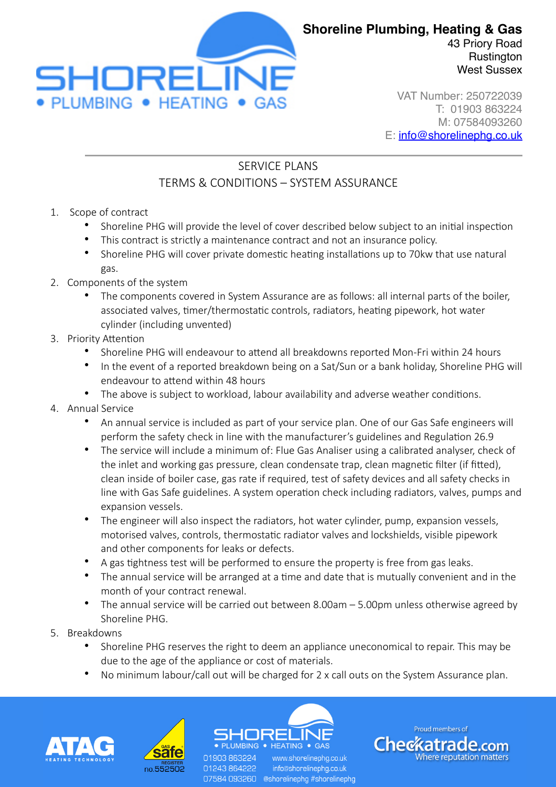

**Rustington** West Sussex

VAT Number: 250722039 T: 01903 863224 M: 07584093260 E: [info@shorelinephg.co.uk](mailto:info@shorelinephg.co.uk)

## SERVICE PLANS TERMS & CONDITIONS – SYSTEM ASSURANCE

- 1. Scope of contract
	- Shoreline PHG will provide the level of cover described below subject to an initial inspection
	- This contract is strictly a maintenance contract and not an insurance policy.
	- Shoreline PHG will cover private domestic heating installations up to 70kw that use natural gas.
- 2. Components of the system
	- The components covered in System Assurance are as follows: all internal parts of the boiler, associated valves, timer/thermostatic controls, radiators, heating pipework, hot water cylinder (including unvented)
- 3. Priority Attention
	- Shoreline PHG will endeavour to attend all breakdowns reported Mon-Fri within 24 hours
	- In the event of a reported breakdown being on a Sat/Sun or a bank holiday, Shoreline PHG will endeavour to attend within 48 hours
	- The above is subject to workload, labour availability and adverse weather conditions.
- 4. Annual Service
	- An annual service is included as part of your service plan. One of our Gas Safe engineers will perform the safety check in line with the manufacturer's guidelines and Regulation 26.9
	- The service will include a minimum of: Flue Gas Analiser using a calibrated analyser, check of the inlet and working gas pressure, clean condensate trap, clean magnetic filter (if fitted), clean inside of boiler case, gas rate if required, test of safety devices and all safety checks in line with Gas Safe guidelines. A system operation check including radiators, valves, pumps and expansion vessels.
	- The engineer will also inspect the radiators, hot water cylinder, pump, expansion vessels, motorised valves, controls, thermostatic radiator valves and lockshields, visible pipework and other components for leaks or defects.
	- A gas tightness test will be performed to ensure the property is free from gas leaks.
	- The annual service will be arranged at a time and date that is mutually convenient and in the month of your contract renewal.
	- The annual service will be carried out between 8.00am 5.00pm unless otherwise agreed by Shoreline PHG.
- 5. Breakdowns
	- Shoreline PHG reserves the right to deem an appliance uneconomical to repair. This may be due to the age of the appliance or cost of materials.
	- No minimum labour/call out will be charged for 2 x call outs on the System Assurance plan.





01903 863224 01243864222

 $\bullet$  HEATING  $\bullet$  GAS www.shorelinepha.co.uk info@shorelinephg.co.uk 07584 093260 @shorelinephg #shorelinephg

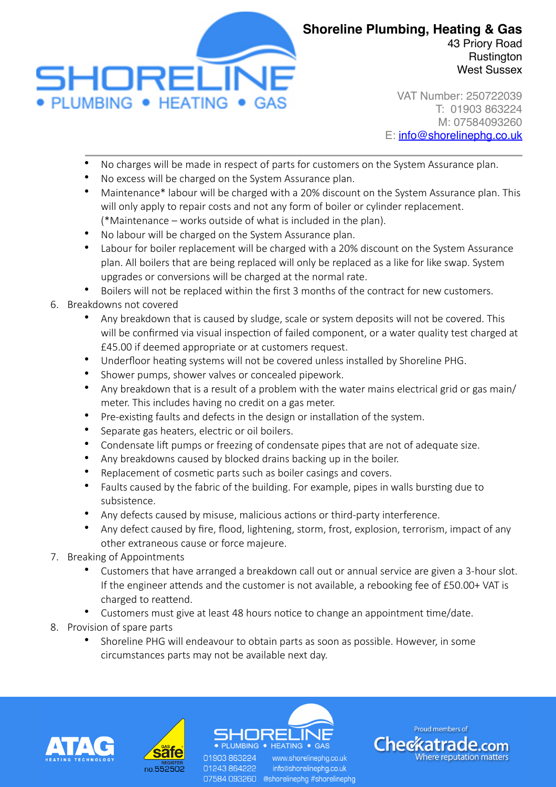

VAT Number: 250722039 T: 01903 863224 M: 07584093260 E: [info@shorelinephg.co.uk](mailto:info@shorelinephg.co.uk)

- No charges will be made in respect of parts for customers on the System Assurance plan.
- No excess will be charged on the System Assurance plan.
- Maintenance\* labour will be charged with a 20% discount on the System Assurance plan. This will only apply to repair costs and not any form of boiler or cylinder replacement. (\*Maintenance – works outside of what is included in the plan).
- No labour will be charged on the System Assurance plan.
- Labour for boiler replacement will be charged with a 20% discount on the System Assurance plan. All boilers that are being replaced will only be replaced as a like for like swap. System upgrades or conversions will be charged at the normal rate.
- Boilers will not be replaced within the first 3 months of the contract for new customers.
- 6. Breakdowns not covered
	- Any breakdown that is caused by sludge, scale or system deposits will not be covered. This will be confirmed via visual inspection of failed component, or a water quality test charged at £45.00 if deemed appropriate or at customers request.
	- Underfloor heating systems will not be covered unless installed by Shoreline PHG.
	- Shower pumps, shower valves or concealed pipework.
	- Any breakdown that is a result of a problem with the water mains electrical grid or gas main/ meter. This includes having no credit on a gas meter.
	- Pre-existing faults and defects in the design or installation of the system.
	- Separate gas heaters, electric or oil boilers.
	- Condensate lift pumps or freezing of condensate pipes that are not of adequate size.
	- Any breakdowns caused by blocked drains backing up in the boiler.
	- Replacement of cosmetic parts such as boiler casings and covers.
	- Faults caused by the fabric of the building. For example, pipes in walls bursting due to subsistence.
	- Any defects caused by misuse, malicious actions or third-party interference.
	- Any defect caused by fire, flood, lightening, storm, frost, explosion, terrorism, impact of any other extraneous cause or force majeure.
- 7. Breaking of Appointments
	- Customers that have arranged a breakdown call out or annual service are given a 3-hour slot. If the engineer attends and the customer is not available, a rebooking fee of £50.00+ VAT is charged to reattend.
	- Customers must give at least 48 hours notice to change an appointment time/date.
- 8. Provision of spare parts
	- Shoreline PHG will endeavour to obtain parts as soon as possible. However, in some circumstances parts may not be available next day.







07584 093260 @shorelinephg #shorelinephg

info@shorelinephg.co.uk

01243864222

Proud members of **Checkatrade.com Where reputation matters**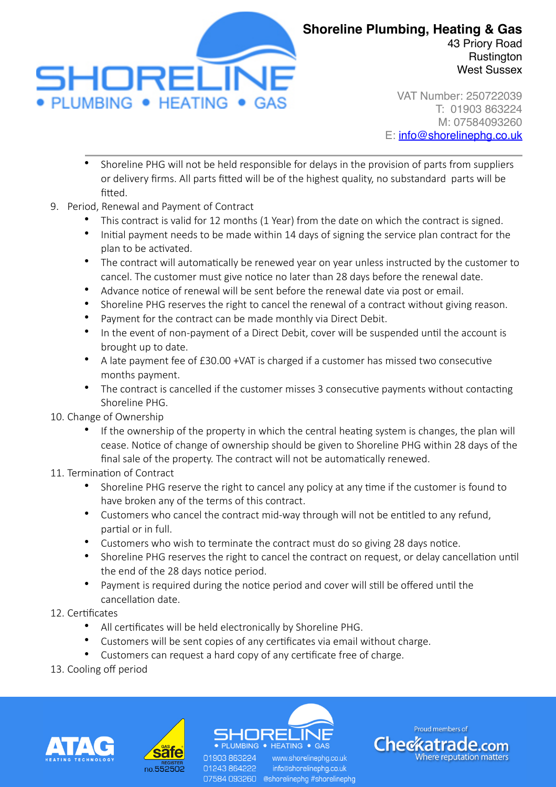

**Rustington** West Sussex

VAT Number: 250722039 T: 01903 863224 M: 07584093260 E: [info@shorelinephg.co.uk](mailto:info@shorelinephg.co.uk)

- Shoreline PHG will not be held responsible for delays in the provision of parts from suppliers or delivery firms. All parts fitted will be of the highest quality, no substandard parts will be hitted
- 9. Period, Renewal and Payment of Contract
	- This contract is valid for 12 months (1 Year) from the date on which the contract is signed.
	- Initial payment needs to be made within 14 days of signing the service plan contract for the plan to be activated.
	- The contract will automatically be renewed year on year unless instructed by the customer to cancel. The customer must give notice no later than 28 days before the renewal date.
	- Advance notice of renewal will be sent before the renewal date via post or email.
	- Shoreline PHG reserves the right to cancel the renewal of a contract without giving reason.
	- Payment for the contract can be made monthly via Direct Debit.
	- In the event of non-payment of a Direct Debit, cover will be suspended until the account is brought up to date.
	- A late payment fee of £30.00 +VAT is charged if a customer has missed two consecutive months payment.
	- The contract is cancelled if the customer misses 3 consecutive payments without contacting Shoreline PHG.
- 10. Change of Ownership
	- If the ownership of the property in which the central heating system is changes, the plan will cease. Notice of change of ownership should be given to Shoreline PHG within 28 days of the final sale of the property. The contract will not be automatically renewed.
- 11. Termination of Contract
	- Shoreline PHG reserve the right to cancel any policy at any time if the customer is found to have broken any of the terms of this contract.
	- Customers who cancel the contract mid-way through will not be entitled to any refund, partial or in full.
	- Customers who wish to terminate the contract must do so giving 28 days notice.
	- Shoreline PHG reserves the right to cancel the contract on request, or delay cancellation until the end of the 28 days notice period.
	- Payment is required during the notice period and cover will still be offered until the cancellation date.
- 12. Certificates
	- All certificates will be held electronically by Shoreline PHG.

01903 863224

01243864222

- Customers will be sent copies of any certificates via email without charge.
- Customers can request a hard copy of any certificate free of charge.
- 13. Cooling off period







07584 093260 @shorelinephg #shorelinephg

www.shorelinepha.co.uk info@shorelinephg.co.uk

Proud members of **Checkatrade.com Where reputation matters**